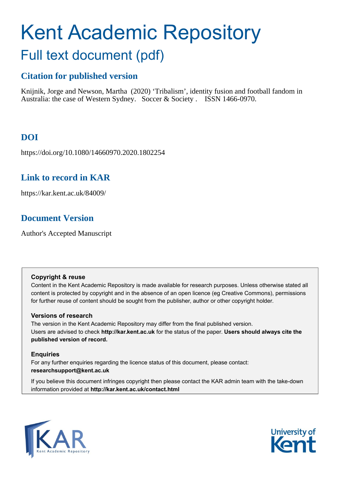# Kent Academic Repository Full text document (pdf)

## **Citation for published version**

Knijnik, Jorge and Newson, Martha (2020) 'Tribalism', identity fusion and football fandom in Australia: the case of Western Sydney. Soccer & Society . ISSN 1466-0970.

# **DOI**

https://doi.org/10.1080/14660970.2020.1802254

# **Link to record in KAR**

https://kar.kent.ac.uk/84009/

# **Document Version**

Author's Accepted Manuscript

## **Copyright & reuse**

Content in the Kent Academic Repository is made available for research purposes. Unless otherwise stated all content is protected by copyright and in the absence of an open licence (eg Creative Commons), permissions for further reuse of content should be sought from the publisher, author or other copyright holder.

## **Versions of research**

The version in the Kent Academic Repository may differ from the final published version. Users are advised to check **http://kar.kent.ac.uk** for the status of the paper. **Users should always cite the published version of record.**

## **Enquiries**

For any further enquiries regarding the licence status of this document, please contact: **researchsupport@kent.ac.uk**

If you believe this document infringes copyright then please contact the KAR admin team with the take-down information provided at **http://kar.kent.ac.uk/contact.html**



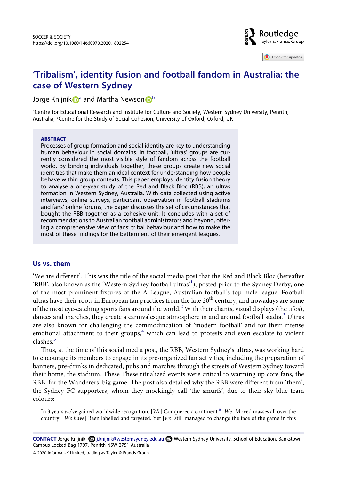

Check for updates

## **'Tribalism', identity fusion and football fandom in Australia: the case of Western Sydney**

Jorge Knijnik **D**<sup>[a](#page--1-0)</sup> and Martha Newson D<sup>[b](#page--1-1)</sup>

aCentre for Educational Research and Institute for Culture and Society, Western Sydney University, Penrith, Australia; <sup>b</sup>Centre for the Study of Social Cohesion, University of Oxford, Oxford, UK

#### **ABSTRACT**

Processes of group formation and social identity are key to understanding human behaviour in social domains. In football, 'ultras' groups are currently considered the most visible style of fandom across the football world. By binding individuals together, these groups create new social identities that make them an ideal context for understanding how people behave within group contexts. This paper employs identity fusion theory to analyse a one-year study of the Red and Black Bloc (RBB), an ultras formation in Western Sydney, Australia. With data collected using active interviews, online surveys, participant observation in football stadiums and fans' online forums, the paper discusses the set of circumstances that bought the RBB together as a cohesive unit. It concludes with a set of recommendations to Australian football administrators and beyond, offering a comprehensive view of fans' tribal behaviour and how to make the most of these findings for the betterment of their emergent leagues.

#### **Us vs. them**

'We are different'. This was the title of the social media post that the Red and Black Bloc (hereafter 'RBB', also known as the 'Western Sydney football ultras'<sup>[1](#page--1-2)</sup>), posted prior to the Sydney Derby, one of the most prominent fixtures of the A-League, Australian football's top male league. Football ultras have their roots in European fan practices from the late  $20<sup>th</sup>$  century, and nowadays are some of the most eye-catching sports fans around the world.<sup>[2](#page--1-3)</sup> With their chants, visual displays (the tifos), dances and marches, they create a carnivalesque atmosphere in and around football stadia.<sup>3</sup> Ultras are also known for challenging the commodification of 'modern football' and for their intense emotional attachment to their groups, $4$  which can lead to protests and even escalate to violent clashes.<sup>5</sup>

Thus, at the time of this social media post, the RBB, Western Sydney's ultras, was working hard to encourage its members to engage in its pre-organized fan activities, including the preparation of banners, pre-drinks in dedicated, pubs and marches through the streets of Western Sydney toward their home, the stadium. These These ritualized events were critical to warming up core fans, the RBB, for the Wanderers' big game. The post also detailed why the RBB were different from 'them', the Sydney FC supporters, whom they mockingly call 'the smurfs', due to their sky blue team colours:

In 3 years *we*'ve gained worldwide recognition. [*We*] Conquered a continent[.6](#page--1-7) [*We*] Moved masses all over the country. [*We have*] Been labelled and targeted. Yet [*we*] still managed to change the face of the game in this

**CONTACT** Jorge Knijnik **۞** j.knijnik@westernsydney.edu.au **■** Western Sydney University, School of Education, Bankstown Campus Locked Bag 1797, Penrith NSW 2751 Australia

© 2020 Informa UK Limited, trading as Taylor & Francis Group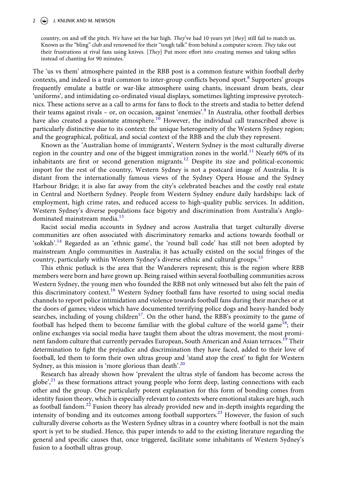#### $\circledast$  J. KNIJNIK AND M. NEWSON

country, on and off the pitch. *We* have set the bar high. *They*'ve had 10 years yet [*they*] still fail to match us. Known as the "bling" club and renowned for their "tough talk" from behind a computer screen. *They* take out their frustrations at rival fans using knives. [*They*] Put more effort into creating memes and taking selfies instead of chanting for 90 minutes.<sup>7</sup>

The 'us vs them' atmosphere painted in the RBB post is a common feature within football derby contexts, and indeed is a trait common to inter-group conflicts beyond sport.<sup>8</sup> Supporters' groups frequently emulate a battle or war-like atmosphere using chants, incessant drum beats, clear 'uniforms', and intimidating co-ordinated visual displays, sometimes lighting impressive pyrotechnics. These actions serve as a call to arms for fans to flock to the streets and stadia to better defend their teams against rivals – or, on occasion, against 'enemies'.<sup>9</sup> In Australia, other football derbies have also created a passionate atmosphere.<sup>[10](#page--1-10)</sup> However, the individual call transcribed above is particularly distinctive due to its context: the unique heterogeneity of the Western Sydney region; and the geographical, political, and social context of the RBB and the club they represent.

Known as the 'Australian home of immigrants', Western Sydney is the most culturally diverse region in the country and one of the biggest immigration zones in the world.<sup>11</sup> Nearly 60% of its inhabitants are first or second generation migrants.<sup>12</sup> Despite its size and political-economic import for the rest of the country, Western Sydney is not a postcard image of Australia. It is distant from the internationally famous views of the Sydney Opera House and the Sydney Harbour Bridge; it is also far away from the city's celebrated beaches and the costly real estate in Central and Northern Sydney. People from Western Sydney endure daily hardships: lack of employment, high crime rates, and reduced access to high-quality public services. In addition, Western Sydney's diverse populations face bigotry and discrimination from Australia's Anglo-dominated mainstream media.<sup>[13](#page--1-13)</sup>

Racist social media accounts in Sydney and across Australia that target culturally diverse communities are often associated with discriminatory remarks and actions towards football or 'sokkah'.<sup>14</sup> Regarded as an 'ethnic game', the 'round ball code' has still not been adopted by mainstream Anglo communities in Australia; it has actually existed on the social fringes of the country, particularly within Western Sydney's diverse ethnic and cultural groups.<sup>[15](#page--1-15)</sup>

This ethnic potluck is the area that the Wanderers represent; this is the region where RBB members were born and have grown up. Being raised within several footballing communities across Western Sydney, the young men who founded the RBB not only witnessed but also felt the pain of this discriminatory context.<sup>16</sup> Western Sydney football fans have resorted to using social media channels to report police intimidation and violence towards football fans during their marches or at the doors of games; videos which have documented terrifying police dogs and heavy-handed body searches, including of young children<sup>17</sup>. On the other hand, the RBB's proximity to the game of football has helped them to become familiar with the global culture of the world game<sup>[18](#page--1-18)</sup>; their online exchanges via social media have taught them about the ultras movement, the most promi-nent fandom culture that currently pervades European, South American and Asian terraces.<sup>[19](#page--1-19)</sup> Their determination to fight the prejudice and discrimination they have faced, added to their love of football, led them to form their own ultras group and 'stand atop the crest' to fight for Western Sydney, as this mission is 'more glorious than death'.<sup>[20](#page--1-20)</sup>

Research has already shown how 'prevalent the ultras style of fandom has become across the globe', $^{21}$  as these formations attract young people who form deep, lasting connections with each other and the group. One particularly potent explanation for this form of bonding comes from identity fusion theory, which is especially relevant to contexts where emotional stakes are high, such as football fandom.<sup>[22](#page--1-22)</sup> Fusion theory has already provided new and in-depth insights regarding the intensity of bonding and its outcomes among football supporters.<sup>23</sup> However, the fusion of such culturally diverse cohorts as the Western Sydney ultras in a country where football is not the main sport is yet to be studied. Hence, this paper intends to add to the existing literature regarding the general and specific causes that, once triggered, facilitate some inhabitants of Western Sydney's fusion to a football ultras group.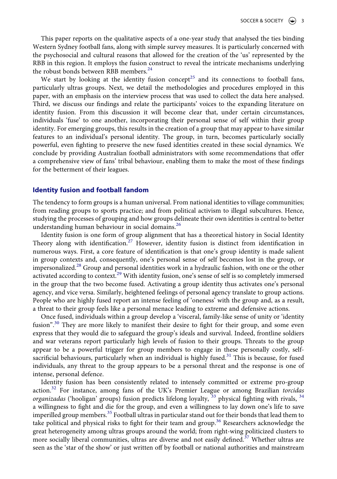This paper reports on the qualitative aspects of a one-year study that analysed the ties binding Western Sydney football fans, along with simple survey measures. It is particularly concerned with the psychosocial and cultural reasons that allowed for the creation of the 'us' represented by the RBB in this region. It employs the fusion construct to reveal the intricate mechanisms underlying the robust bonds between RBB members.<sup>[24](#page--1-24)</sup>

We start by looking at the identity fusion concept<sup>25</sup> and its connections to football fans, particularly ultras groups. Next, we detail the methodologies and procedures employed in this paper, with an emphasis on the interview process that was used to collect the data here analysed. Third, we discuss our findings and relate the participants' voices to the expanding literature on identity fusion. From this discussion it will become clear that, under certain circumstances, individuals 'fuse' to one another, incorporating their personal sense of self within their group identity. For emerging groups, this results in the creation of a group that may appear to have similar features to an individual's personal identity. The group, in turn, becomes particularly socially powerful, even fighting to preserve the new fused identities created in these social dynamics. We conclude by providing Australian football administrators with some recommendations that offer a comprehensive view of fans' tribal behaviour, enabling them to make the most of these findings for the betterment of their leagues.

#### **Identity fusion and football fandom**

The tendency to form groups is a human universal. From national identities to village communities; from reading groups to sports practice; and from political activism to illegal subcultures. Hence, studying the processes of grouping and how groups delineate their own identities is central to better understanding human behaviour in social domains.<sup>[26](#page--1-26)</sup>

Identity fusion is one form of group alignment that has a theoretical history in Social Identity Theory along with identification.<sup>27</sup> However, identity fusion is distinct from identification in numerous ways. First, a core feature of identification is that one's group identity is made salient in group contexts and, consequently, one's personal sense of self becomes lost in the group, or impersonalized.<sup>[28](#page--1-28)</sup> Group and personal identities work in a hydraulic fashion, with one or the other activated according to context.<sup>[29](#page--1-29)</sup> With identity fusion, one's sense of self is so completely immersed in the group that the two become fused. Activating a group identity thus activates one's personal agency, and vice versa. Similarly, heightened feelings of personal agency translate to group actions. People who are highly fused report an intense feeling of 'oneness' with the group and, as a result, a threat to their group feels like a personal menace leading to extreme and defensive actions.

Once fused, individuals within a group develop a 'visceral, family-like sense of unity or 'identity fusion".<sup>30</sup> They are more likely to manifest their desire to fight for their group, and some even express that they would die to safeguard the group's ideals and survival. Indeed, frontline soldiers and war veterans report particularly high levels of fusion to their groups. Threats to the group appear to be a powerful trigger for group members to engage in these personally costly, selfsacrificial behaviours, particularly when an individual is highly fused. $31$  This is because, for fused individuals, any threat to the group appears to be a personal threat and the response is one of intense, personal defence.

Identity fusion has been consistently related to intensely committed or extreme pro-group action[.32](#page--1-32) For instance, among fans of the UK's Premier League or among Brazilian *torcidas*  organizadas ('hooligan' groups) fusion predicts lifelong loyalty, <sup>[33](#page--1-33)</sup> physical fighting with rivals, <sup>[34](#page--1-34)</sup> a willingness to fight and die for the group, and even a willingness to lay down one's life to save imperilled group members.[35](#page--1-35) Football ultras in particular stand out for their bonds that lead them to take political and physical risks to fight for their team and group.<sup>36</sup> Researchers acknowledge the great heterogeneity among ultras groups around the world; from right-wing politicized clusters to more socially liberal communities, ultras are diverse and not easily defined.<sup>37</sup> Whether ultras are seen as the 'star of the show' or just written off by football or national authorities and mainstream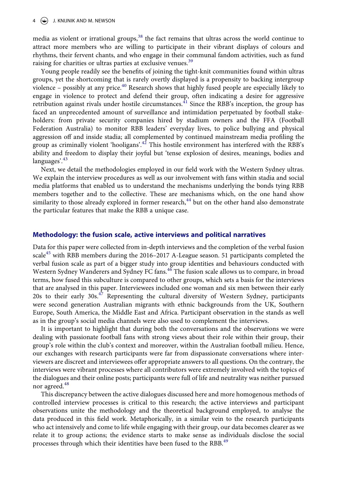#### $4 \quad (*)$  J. KNIJNIK AND M. NEWSON

media as violent or irrational groups,<sup>[38](#page--1-38)</sup> the fact remains that ultras across the world continue to attract more members who are willing to participate in their vibrant displays of colours and rhythms, their fervent chants, and who engage in their communal fandom activities, such as fund raising for charities or ultras parties at exclusive venues.<sup>[39](#page--1-39)</sup>

Young people readily see the benefits of joining the tight-knit communities found within ultras groups, yet the shortcoming that is rarely overtly displayed is a propensity to backing intergroup violence – possibly at any price.<sup>[40](#page--1-40)</sup> Research shows that highly fused people are especially likely to engage in violence to protect and defend their group, often indicating a desire for aggressive retribution against rivals under hostile circumstances.<sup>41</sup> Since the RBB's inception, the group has faced an unprecedented amount of surveillance and intimidation perpetuated by football stakeholders: from private security companies hired by stadium owners and the FFA (Football Federation Australia) to monitor RBB leaders' everyday lives, to police bullying and physical aggression off and inside stadia; all complemented by continued mainstream media profiling the group as criminally violent 'hooligans'.<sup>42</sup> This hostile environment has interfered with the RBB's ability and freedom to display their joyful but 'tense explosion of desires, meanings, bodies and languages'.<sup>[43](#page--1-43)</sup>

Next, we detail the methodologies employed in our field work with the Western Sydney ultras. We explain the interview procedures as well as our involvement with fans within stadia and social media platforms that enabled us to understand the mechanisms underlying the bonds tying RBB members together and to the collective. These are mechanisms which, on the one hand show similarity to those already explored in former research, $44$  but on the other hand also demonstrate the particular features that make the RBB a unique case.

#### **Methodology: the fusion scale, active interviews and political narratives**

Data for this paper were collected from in-depth interviews and the completion of the verbal fusion scale<sup>45</sup> with RBB members during the 2016–2017 A-League season. 51 participants completed the verbal fusion scale as part of a bigger study into group identities and behaviours conducted with Western Sydney Wanderers and Sydney FC fans.<sup>[46](#page--1-46)</sup> The fusion scale allows us to compare, in broad terms, how fused this subculture is compared to other groups, which sets a basis for the interviews that are analysed in this paper. Interviewees included one woman and six men between their early 20s to their early  $30s^{47}$  $30s^{47}$  $30s^{47}$  Representing the cultural diversity of Western Sydney, participants were second generation Australian migrants with ethnic backgrounds from the UK, Southern Europe, South America, the Middle East and Africa. Participant observation in the stands as well as in the group's social media channels were also used to complement the interviews.

It is important to highlight that during both the conversations and the observations we were dealing with passionate football fans with strong views about their role within their group, their group's role within the club's context and moreover, within the Australian football milieu. Hence, our exchanges with research participants were far from dispassionate conversations where interviewers are discreet and interviewees offer appropriate answers to all questions. On the contrary, the interviews were vibrant processes where all contributors were extremely involved with the topics of the dialogues and their online posts; participants were full of life and neutrality was neither pursued nor agreed.<sup>[48](#page--1-48)</sup>

This discrepancy between the active dialogues discussed here and more homogenous methods of controlled interview processes is critical to this research; the active interviews and participant observations unite the methodology and the theoretical background employed, to analyse the data produced in this field work. Metaphorically, in a similar vein to the research participants who act intensively and come to life while engaging with their group, our data becomes clearer as we relate it to group actions; the evidence starts to make sense as individuals disclose the social processes through which their identities have been fused to the RBB.<sup>49</sup>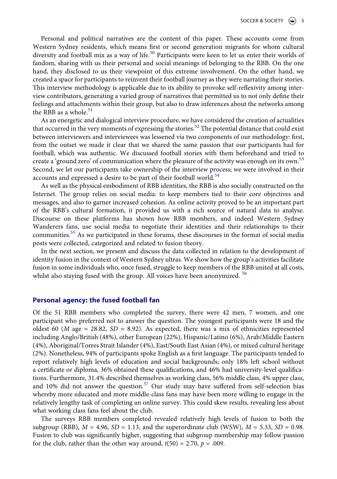Personal and political narratives are the content of this paper. These accounts come from Western Sydney residents, which means first or second generation migrants for whom cultural diversity and football mix as a way of life.<sup>50</sup> Participants were keen to let us enter their worlds of fandom, sharing with us their personal and social meanings of belonging to the RBB. On the one hand, they disclosed to us their viewpoint of this extreme involvement. On the other hand, we created a space for participants to reinvent their football journey as they were narrating their stories. This interview methodology is applicable due to its ability to provoke self-reflexivity among interview contributors, generating a varied group of narratives that permitted us to not only define their feelings and attachments within their group, but also to draw inferences about the networks among the RBB as a whole. $51$ 

As an energetic and dialogical interview procedure, we have considered the creation of actualities that occurred in the very moments of expressing the stories.<sup>[52](#page--1-52)</sup> The potential distance that could exist between interviewers and interviewees was lessened via two components of our methodology: first, from the outset we made it clear that we shared the same passion that our participants had for football, which was authentic. We discussed football stories with them beforehand and tried to create a 'ground zero' of communication where the pleasure of the activity was enough on its own.<sup>[53](#page--1-53)</sup> Second, we let our participants take ownership of the interview process; we were involved in their accounts and expressed a desire to be part of their football world.<sup>[54](#page--1-54)</sup>

As well as the physical embodiment of RBB identities, the RBB is also socially constructed on the Internet. The group relies on social media: to keep members tied to their core objectives and messages, and also to garner increased cohesion. As online activity proved to be an important part of the RBB's cultural formation, it provided us with a rich source of natural data to analyse. Discourse on these platforms has shown how RBB members, and indeed Western Sydney Wanderers fans, use social media to negotiate their identities and their relationships to their communities.<sup>[55](#page--1-55)</sup> As we participated in these forums, these discourses in the format of social media posts were collected, categorized and related to fusion theory.

In the next section, we present and discuss the data collected in relation to the development of identity fusion in the context of Western Sydney ultras. We show how the group's activities facilitate fusion in some individuals who, once fused, struggle to keep members of the RBB united at all costs, whilst also staying fused with the group. All voices have been anonymized. <sup>[56](#page--1-56)</sup>

#### **Personal agency: the fused football fan**

Of the 51 RBB members who completed the survey, there were 42 men, 7 women, and one participant who preferred not to answer the question. The youngest participants were 18 and the oldest 60 (*M* age = 28.82,  $SD = 8.92$ ). As expected, there was a mix of ethnicities represented including Anglo/British (48%), other European (22%), Hispanic/Latino (6%), Arab/Middle Eastern (4%), Aboriginal/Torres Strait Islander (4%), East/South East Asian (4%), or mixed cultural heritage (2%). Nonetheless, 94% of participants spoke English as a first language. The participants tended to report relatively high levels of education and social backgrounds; only 18% left school without a certificate or diploma, 36% obtained these qualifications, and 46% had university-level qualifications. Furthermore, 31.4% described themselves as working class, 56% middle class, 4% upper class, and 10% did not answer the question.<sup>57</sup> Our study may have suffered from self-selection bias whereby more educated and more middle-class fans may have been more willing to engage in the relatively lengthy task of completing an online survey. This could skew results, revealing less about what working class fans feel about the club.

The surveys RBB members completed revealed relatively high levels of fusion to both the subgroup (RBB),  $M = 4.96$ ,  $SD = 1.13$ , and the superordinate club (WSW),  $M = 5.33$ ,  $SD = 0.98$ . Fusion to club was significantly higher, suggesting that subgroup membership may follow passion for the club, rather than the other way around,  $t(50) = 2.70$ ,  $p = .009$ .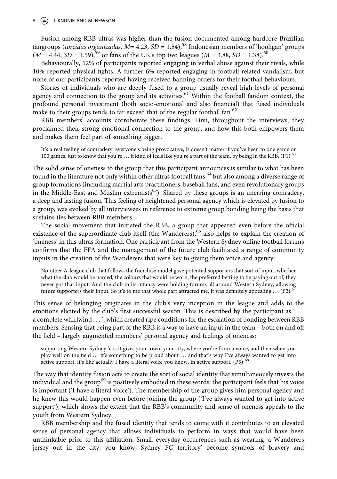#### $6 \quad (*)$  J. KNIJNIK AND M. NEWSON

Fusion among RBB ultras was higher than the fusion documented among hardcore Brazilian fangroups (*torcidas organizadas, M*= 4.23, *SD* = 1.54),<sup>[58](#page--1-58)</sup> Indonesian members of 'hooligan' groups  $(M = 4.44, SD = 1.59)$  $(M = 4.44, SD = 1.59)$  $(M = 4.44, SD = 1.59)$ <sup>59</sup> or fans of the UK's top two leagues  $(M = 3.88, SD = 1.38)$ <sup>[60](#page--1-60)</sup>

Behaviourally, 52% of participants reported engaging in verbal abuse against their rivals, while 10% reported physical fights. A further 6% reported engaging in football-related vandalism, but none of our participants reported having received banning orders for their football behaviours.

Stories of individuals who are deeply fused to a group usually reveal high levels of personal agency and connection to the group and its activities.<sup>61</sup> Within the football fandom context, the profound personal investment (both socio-emotional and also financial) that fused individuals make to their groups tends to far exceed that of the regular football fan.<sup>[62](#page--1-62)</sup>

RBB members' accounts corroborate these findings. First, throughout the interviews, they proclaimed their strong emotional connection to the group, and how this both empowers them and makes them feel part of something bigger.

It's a real feeling of comradery, everyone's being provocative, it doesn't matter if you've been to one game or 100 games, just to know that you're ... it kind of feels like you're a part of the team, by being in the RBB. (P1)  $^{63}$ 

The solid sense of oneness to the group that this participant announces is similar to what has been found in the literature not only within other ultras football fans, <sup>64</sup> but also among a diverse range of group formations (including martial arts practitioners, baseball fans, and even revolutionary groups in the Middle-East and Muslim extremists<sup>65</sup>). Shared by these groups is an unerring comradery, a deep and lasting fusion. This feeling of heightened personal agency which is elevated by fusion to a group, was evoked by all interviewees in reference to extreme group bonding being the basis that sustains ties between RBB members.

The social movement that initiated the RBB, a group that appeared even before the official existence of the superordinate club itself (the Wanderers),<sup>66</sup> also helps to explain the creation of 'oneness' in this ultras formation. One participant from the Western Sydney online football forums confirms that the FFA and the management of the future club facilitated a range of community inputs in the creation of the Wanderers that were key to giving them voice and agency:

No other A-league club that follows the franchise model gave potential supporters that sort of input, whether what the club would be named, the colours that would be worn, the preferred betting to be paying out of, they never got that input. And the club in its infancy were holding forums all around Western Sydney, allowing future supporters their input. So it's to me that whole part attracted me, it was definitely appealing ... (P2).<sup>67</sup>

This sense of belonging originates in the club's very inception in the league and adds to the emotions elicited by the club's first successful season. This is described by the participant as '... a complete whirlwind . . . ', which created ripe conditions for the escalation of bonding between RBB members. Sensing that being part of the RBB is a way to have an input in the team – both on and off the field – largely augmented members' personal agency and feelings of oneness:

supporting Western Sydney 'cos it gives your town, your city, where you're from a voice, and then when you play well on the field . . . it's something to be proud about . . . and that's why I've always wanted to get into active support, it's like actually I have a literal voice you know, in active support. (P3) <sup>[68](#page--1-68)</sup>

The way that identity fusion acts to create the sort of social identity that simultaneously invests the individual and the group<sup>69</sup> is positively embodied in these words: the participant feels that his voice is important ('I have a literal voice'). The membership of the group gives him personal agency and he knew this would happen even before joining the group ('I've always wanted to get into active support'), which shows the extent that the RBB's community and sense of oneness appeals to the youth from Western Sydney.

RBB membership and the fused identity that tends to come with it contributes to an elevated sense of personal agency that allows individuals to perform in ways that would have been unthinkable prior to this affiliation. Small, everyday occurrences such as wearing 'a Wanderers jersey out in the city, you know, Sydney FC territory' become symbols of bravery and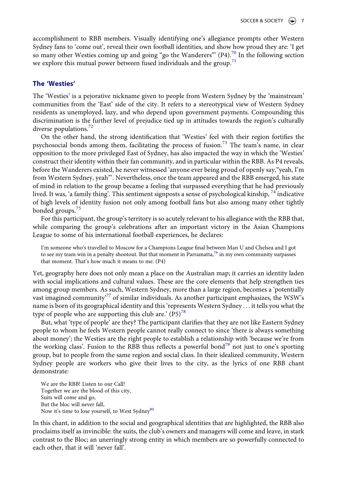accomplishment to RBB members. Visually identifying one's allegiance prompts other Western Sydney fans to 'come out', reveal their own football identities, and show how proud they are: 'I get so many other Westies coming up and going "go the Wanderers"  $(P4)$ .<sup>70</sup> In the following section we explore this mutual power between fused individuals and the group.<sup>[71](#page--1-71)</sup>

#### **The 'Westies'**

The 'Westies' is a pejorative nickname given to people from Western Sydney by the 'mainstream' communities from the 'East' side of the city. It refers to a stereotypical view of Western Sydney residents as unemployed, lazy, and who depend upon government payments. Compounding this discrimination is the further level of prejudice tied up in attitudes towards the region's culturally diverse populations. $72$ 

On the other hand, the strong identification that 'Westies' feel with their region fortifies the psychosocial bonds among them, facilitating the process of fusion.<sup>73</sup> The team's name, in clear opposition to the more privileged East of Sydney, has also impacted the way in which the 'Westies' construct their identity within their fan community, and in particular within the RBB. As P4 reveals, before the Wanderers existed, he never witnessed 'anyone ever being proud of openly say,"yeah, I'm from Western Sydney, yeah"'. Nevertheless, once the team appeared and the RBB emerged, his state of mind in relation to the group became a feeling that surpassed everything that he had previously lived. It was, 'a family thing'. This sentiment signposts a sense of psychological kinship, <sup>74</sup> indicative of high levels of identity fusion not only among football fans but also among many other tightly bonded groups[.75](#page--1-75)

For this participant, the group's territory is so acutely relevant to his allegiance with the RBB that, while comparing the group's celebrations after an important victory in the Asian Champions League to some of his international football experiences, he declares:

I'm someone who's travelled to Moscow for a Champions League final between Man U and Chelsea and I got to see my team win in a penalty shootout. But that moment in Parramatta,<sup>76</sup> in my own community surpasses that moment. That's how much it means to me. (P4)

Yet, geography here does not only mean a place on the Australian map; it carries an identity laden with social implications and cultural values. These are the core elements that help strengthen ties among group members. As such, Western Sydney, more than a large region, becomes a 'potentially vast imagined community<sup>77</sup> of similar individuals. As another participant emphasizes, the WSW's name is born of its geographical identity and this 'represents Western Sydney . . . it tells you what the type of people who are supporting this club are.'  $(P5)^{78}$  $(P5)^{78}$  $(P5)^{78}$ 

But, what 'type of people' are they? The participant clarifies that they are not like Eastern Sydney people to whom he feels Western people cannot really connect to since 'there is always something about money'; the Westies are the right people to establish a relationship with 'because we're from the working class'. Fusion to the RBB thus reflects a powerful bond<sup>79</sup> not just to one's sporting group, but to people from the same region and social class. In their idealized community, Western Sydney people are workers who give their lives to the city, as the lyrics of one RBB chant demonstrate:

We are the RBB! Listen to our Call! Together we are the blood of this city, Suits will come and go, But the bloc will never fall, Now it's time to lose yourself, to West Sydney<sup>80</sup>

In this chant, in addition to the social and geographical identities that are highlighted, the RBB also proclaims itself as invincible: the suits, the club's owners and managers will come and leave, in stark contrast to the Bloc; an unerringly strong entity in which members are so powerfully connected to each other, that it will 'never fall'.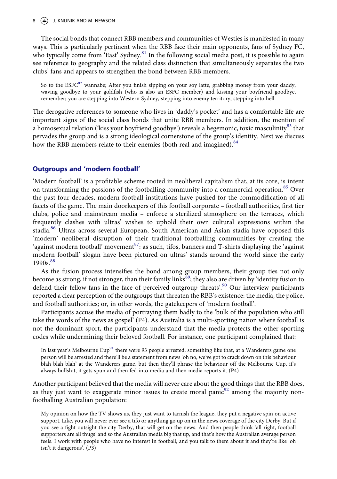#### $\mathcal{B}$   $\Rightarrow$  J. KNIJNIK AND M. NEWSON

The social bonds that connect RBB members and communities of Westies is manifested in many ways. This is particularly pertinent when the RBB face their main opponents, fans of Sydney FC, who typically come from 'East' Sydney.<sup>81</sup> In the following social media post, it is possible to again see reference to geography and the related class distinction that simultaneously separates the two clubs' fans and appears to strengthen the bond between RBB members.

So to the ESFC<sup>82</sup> wannabe; After you finish sipping on your soy latte, grabbing money from your daddy, waving goodbye to your goldfish (who is also an ESFC member) and kissing your boyfriend goodbye, remember; you are stepping into Western Sydney, stepping into enemy territory, stepping into hell.

The derogative references to someone who lives in 'daddy's pocket' and has a comfortable life are important signs of the social class bonds that unite RBB members. In addition, the mention of a homosexual relation ('kiss your boyfriend goodbye') reveals a hegemonic, toxic masculinity<sup>[83](#page--1-42)</sup> that pervades the group and is a strong ideological cornerstone of the group's identity. Next we discuss how the RBB members relate to their enemies (both real and imagined).<sup>[84](#page--1-43)</sup>

#### **Outgroups and 'modern football'**

'Modern football' is a profitable scheme rooted in neoliberal capitalism that, at its core, is intent on transforming the passions of the footballing community into a commercial operation.<sup>[85](#page--1-45)</sup> Over the past four decades, modern football institutions have pushed for the commodification of all facets of the game. The main doorkeepers of this football corporate – football authorities, first tier clubs, police and mainstream media – enforce a sterilized atmosphere on the terraces, which frequently clashes with ultras' wishes to uphold their own cultural expressions within the stadia.<sup>[86](#page--1-76)</sup> Ultras across several European, South American and Asian stadia have opposed this 'modern' neoliberal disruption of their traditional footballing communities by creating the 'against modern football' movement<sup>87</sup>: as such, tifos, banners and T-shirts displaying the 'against modern football' slogan have been pictured on ultras' stands around the world since the early 1990s.<sup>[88](#page--1-47)</sup>

As the fusion process intensifies the bond among group members, their group ties not only become as strong, if not stronger, than their family links<sup>[89](#page--1-48)</sup>; they also are driven by 'identity fusion to defend their fellow fans in the face of perceived outgroup threats'.<sup>[90](#page--1-49)</sup> Our interview participants reported a clear perception of the outgroups that threaten the RBB's existence: the media, the police, and football authorities; or, in other words, the gatekeepers of 'modern football'.

Participants accuse the media of portraying them badly to the 'bulk of the population who still take the words of the news as gospel' (P4). As Australia is a multi-sporting nation where football is not the dominant sport, the participants understand that the media protects the other sporting codes while undermining their beloved football. For instance, one participant complained that:

In last year's Melbourne Cup<sup>91</sup> there were 93 people arrested, something like that, at a Wanderers game one person will be arrested and there'll be a statement from news 'oh no, we've got to crack down on this behaviour blah blah blah' at the Wanderers game, but then they'll phrase the behaviour off the Melbourne Cup, it's always bullshit, it gets spun and then fed into media and then media reports it. (P4)

Another participant believed that the media will never care about the good things that the RBB does, as they just want to exaggerate minor issues to create moral panic $\sigma^2$  among the majority nonfootballing Australian population:

My opinion on how the TV shows us, they just want to tarnish the league, they put a negative spin on active support. Like, you will never ever see a tifo or anything go up on in the news coverage of the city Derby. But if you see a fight outsight the city Derby, that will get on the news. And then people think 'all right, football supporters are all thugs' and so the Australian media big that up, and that's how the Australian average person feels. I work with people who have no interest in football, and you talk to them about it and they're like 'oh isn't it dangerous'. (P3)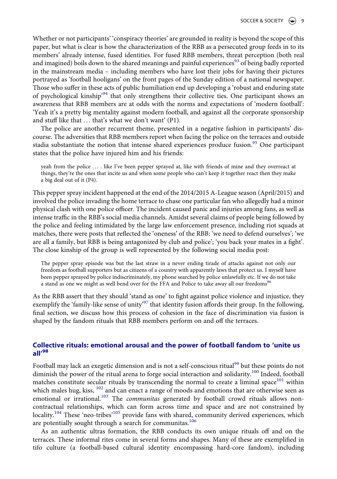Whether or not participants' 'conspiracy theories' are grounded in reality is beyond the scope of this paper, but what is clear is how the characterization of the RBB as a persecuted group feeds in to its members' already intense, fused identities. For fused RBB members, threat perception (both real and imagined) boils down to the shared meanings and painful experiences<sup>93</sup> of being badly reported in the mainstream media – including members who have lost their jobs for having their pictures portrayed as 'football hooligans' on the front pages of the Sunday edition of a national newspaper. Those who suffer in these acts of public humiliation end up developing a 'robust and enduring state of psychological kinship['94](#page--1-53) that only strengthens their collective ties. One participant shows an awareness that RBB members are at odds with the norms and expectations of 'modern football': 'Yeah it's a pretty big mentality against modern football, and against all the corporate sponsorship and stuff like that ... that's what we don't want' (P1).

The police are another recurrent theme, presented in a negative fashion in participants' discourse. The adversities that RBB members report when facing the police on the terraces and outside stadia substantiate the notion that intense shared experiences produce fusion.<sup>95</sup> One participant states that the police have injured him and his friends:

yeah from the police .... like I've been pepper sprayed at, like with friends of mine and they overreact at things, they're the ones that incite us and when some people who can't keep it together react then they make a big deal out of it (P4).

This pepper spray incident happened at the end of the 2014/2015 A-League season (April/2015) and involved the police invading the home terrace to chase one particular fan who allegedly had a minor physical clash with one police officer. The incident caused panic and injuries among fans, as well as intense traffic in the RBB's social media channels. Amidst several claims of people being followed by the police and feeling intimidated by the large law enforcement presence, including riot squads at matches, there were posts that reflected the 'oneness' of the RBB: 'we need to defend ourselves'; 'we are all a family, but RBB is being antagonized by club and police'; 'you back your mates in a fight'. The close kinship of the group is well represented by the following social media post:

The pepper spray episode was but the last straw in a never ending tirade of attacks against not only our freedom as football supporters but as citizens of a country with apparently laws that protect us. I myself have been pepper sprayed by police indiscriminately, my phone searched by police unlawfully etc. If we do not take a stand as one we might as well bend over for the FFA and Police to take away all our freedoms<sup>[96](#page--1-55)</sup>

As the RBB assert that they should 'stand as one' to fight against police violence and injustice, they exemplify the 'family-like sense of unity'<sup>[97](#page--1-56)</sup> that identity fusion affords their group. In the following, final section, we discuss how this process of cohesion in the face of discrimination via fusion is shaped by the fandom rituals that RBB members perform on and off the terraces.

#### **Collective rituals: emotional arousal and the power of football fandom to 'unite us all['98](#page--1-79)**

Football may lack an exegetic dimension and is not a self-conscious ritual<sup>[99](#page--1-57)</sup> but these points do not diminish the power of the ritual arena to forge social interaction and solidarity.<sup>[100](#page--1-58)</sup> Indeed, football matches constitute secular rituals by transcending the normal to create a liminal space<sup>101</sup> within which males hug, kiss, <sup>[102](#page--1-81)</sup> and can enact a range of moods and emotions that are otherwise seen as emotional or irrational.<sup>103</sup> The *communitas* generated by football crowd rituals allows noncontractual relationships, which can form across time and space and are not constrained by locality.<sup>104</sup> These 'neo-tribes'<sup>105</sup> provide fans with shared, community derived experiences, which are potentially sought through a search for communitas.<sup>[106](#page--1-63)</sup>

As an authentic ultras formation, the RBB conducts its own unique rituals off and on the terraces. These informal rites come in several forms and shapes. Many of these are exemplified in tifo culture (a football-based cultural identity encompassing hard-core fandom), including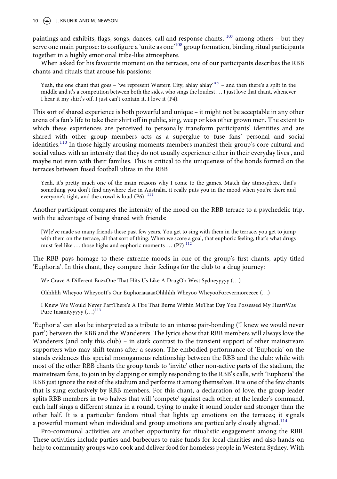#### 10  $\odot$  J. KNIJNIK AND M. NEWSON

paintings and exhibits, flags, songs, dances, call and response chants,  $^{107}$  among others – but they serve one main purpose: to configure a 'unite as one'[108](#page--1-84) group formation, binding ritual participants together in a highly emotional tribe-like atmosphere.

When asked for his favourite moment on the terraces, one of our participants describes the RBB chants and rituals that arouse his passions:

Yeah, the one chant that goes – 'we represent Western City, ahlay ahlay'<sup>[109](#page--1-65)</sup> – and then there's a split in the middle and it's a competition between both the sides, who sings the loudest . . . I just love that chant, whenever I hear it my shirt's off, I just can't contain it, I love it (P4).

This sort of shared experience is both powerful and unique – it might not be acceptable in any other arena of a fan's life to take their shirt off in public, sing, weep or kiss other grown men. The extent to which these experiences are perceived to personally transform participants' identities and are shared with other group members acts as a superglue to fuse fans' personal and social identities.<sup>[110](#page--1-66)</sup> In those highly arousing moments members manifest their group's core cultural and social values with an intensity that they do not usually experience either in their everyday lives , and maybe not even with their families. This is critical to the uniqueness of the bonds formed on the terraces between fused football ultras in the RBB

Yeah, it's pretty much one of the main reasons why I come to the games. Match day atmosphere, that's something you don't find anywhere else in Australia, it really puts you in the mood when you're there and everyone's tight, and the crowd is loud (P6).  $^{111}$  $^{111}$  $^{111}$ 

Another participant compares the intensity of the mood on the RBB terrace to a psychedelic trip, with the advantage of being shared with friends:

[W]e've made so many friends these past few years. You get to sing with them in the terrace, you get to jump with them on the terrace, all that sort of thing. When we score a goal, that euphoric feeling, that's what drugs must feel like ... those highs and euphoric moments ... (P7) <sup>[112](#page--1-85)</sup>

The RBB pays homage to these extreme moods in one of the group's first chants, aptly titled 'Euphoria'. In this chant, they compare their feelings for the club to a drug journey:

We Crave A Different BuzzOne That Hits Us Like A DrugOh West Sydneyyyyy (. . .)

Ohhhhh Wheyoo WheyooIt's Our EuphoriaaaaaOhhhhh Wheyoo WheyooForevermoreeeee (. . .)

I Knew We Would Never PartThere's A Fire That Burns Within MeThat Day You Possessed My HeartWas Pure Insanityyyy  $(\ldots)^{113}$  $(\ldots)^{113}$  $(\ldots)^{113}$ 

'Euphoria' can also be interpreted as a tribute to an intense pair-bonding ('I knew we would never part') between the RBB and the Wanderers. The lyrics show that RBB members will always love the Wanderers (and only this club) – in stark contrast to the transient support of other mainstream supporters who may shift teams after a season. The embodied performance of 'Euphoria' on the stands evidences this special monogamous relationship between the RBB and the club: while with most of the other RBB chants the group tends to 'invite' other non-active parts of the stadium, the mainstream fans, to join in by clapping or simply responding to the RBB's calls, with 'Euphoria' the RBB just ignore the rest of the stadium and performs it among themselves. It is one of the few chants that is sung exclusively by RBB members. For this chant, a declaration of love, the group leader splits RBB members in two halves that will 'compete' against each other; at the leader's command, each half sings a different stanza in a round, trying to make it sound louder and stronger than the other half. It is a particular fandom ritual that lights up emotions on the terraces; it signals a powerful moment when individual and group emotions are particularly closely aligned.<sup>[114](#page--1-71)</sup>

Pro-communal activities are another opportunity for ritualistic engagement among the RBB. These activities include parties and barbecues to raise funds for local charities and also hands-on help to community groups who cook and deliver food for homeless people in Western Sydney. With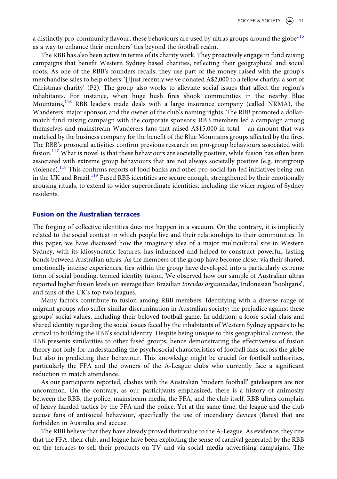a distinctly pro-community flavour, these behaviours are used by ultras groups around the globe<sup>[115](#page--1-86)</sup> as a way to enhance their members' ties beyond the football realm.

The RBB has also been active in terms of its charity work. They proactively engage in fund raising campaigns that benefit Western Sydney based charities, reflecting their geographical and social roots. As one of the RBB's founders recalls, they use part of the money raised with the group's merchandise sales to help others: '[J]ust recently we've donated A\$2,000 to a fellow charity, a sort of Christmas charity' (P2). The group also works to alleviate social issues that affect the region's inhabitants. For instance, when huge bush fires shook communities in the nearby Blue Mountains,<sup>116</sup> RBB leaders made deals with a large insurance company (called NRMA), the Wanderers' major sponsor, and the owner of the club's naming rights. The RBB promoted a dollarmatch fund raising campaign with the corporate sponsors: RBB members led a campaign among themselves and mainstream Wanderers fans that raised A\$15,000 in total – an amount that was matched by the business company for the benefit of the Blue Mountains groups affected by the fires. The RBB's prosocial activities confirm previous research on pro-group behaviours associated with fusion.<sup>117</sup> What is novel is that these behaviours are societally positive, while fusion has often been associated with extreme group behaviours that are not always societally positive (e.g. intergroup violence).[118](#page--1-34) This confirms reports of food banks and other pro-social fan-led initiatives being run in the UK and Brazil[.119](#page--1-36) Fused RBB identities are secure enough, strengthened by their emotionally arousing rituals, to extend to wider superordinate identities, including the wider region of Sydney residents.

#### **Fusion on the Australian terraces**

The forging of collective identities does not happen in a vacuum. On the contrary, it is implicitly related to the social context in which people live and their relationships to their communities. In this paper, we have discussed how the imaginary idea of a major multicultural site in Western Sydney, with its idiosyncratic features, has influenced and helped to construct powerful, lasting bonds between Australian ultras. As the members of the group have become closer via their shared, emotionally intense experiences, ties within the group have developed into a particularly extreme form of social bonding, termed identity fusion. We observed how our sample of Australian ultras reported higher fusion levels on average than Brazilian *torcidas organizadas*, Indonesian 'hooligans', and fans of the UK's top two leagues.

Many factors contribute to fusion among RBB members. Identifying with a diverse range of migrant groups who suffer similar discrimination in Australian society; the prejudice against these groups' social values, including their beloved football game. In addition, a loose social class and shared identity regarding the social issues faced by the inhabitants of Western Sydney appears to be critical to building the RBB's social identity. Despite being unique to this geographical context, the RBB presents similarities to other fused groups, hence demonstrating the effectiveness of fusion theory not only for understanding the psychosocial characteristics of football fans across the globe but also in predicting their behaviour. This knowledge might be crucial for football authorities, particularly the FFA and the owners of the A-League clubs who currently face a significant reduction in match attendance.

As our participants reported, clashes with the Australian 'modern football' gatekeepers are not uncommon. On the contrary, as our participants emphasized, there is a history of animosity between the RBB, the police, mainstream media, the FFA, and the club itself. RBB ultras complain of heavy handed tactics by the FFA and the police. Yet at the same time, the league and the club accuse fans of antisocial behaviour, specifically the use of incendiary devices (flares) that are forbidden in Australia and accuse.

The RBB believe that they have already proved their value to the A-League. As evidence, they cite that the FFA, their club, and league have been exploiting the sense of carnival generated by the RBB on the terraces to sell their products on TV and via social media advertising campaigns. The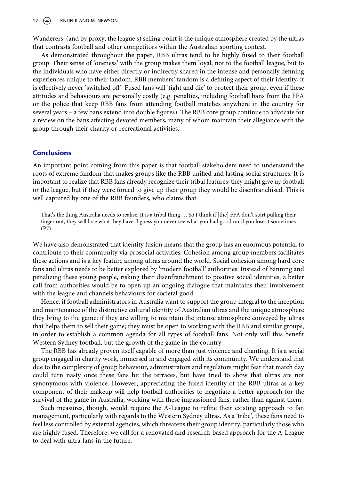Wanderers' (and by proxy, the league's) selling point is the unique atmosphere created by the ultras that contrasts football and other competitors within the Australian sporting context.

As demonstrated throughout the paper, RBB ultras tend to be highly fused to their football group. Their sense of 'oneness' with the group makes them loyal, not to the football league, but to the individuals who have either directly or indirectly shared in the intense and personally defining experiences unique to their fandom. RBB members' fandom is a defining aspect of their identity, it is effectively never 'switched off'. Fused fans will 'fight and die' to protect their group, even if these attitudes and behaviours are personally costly (e.g. penalties, including football bans from the FFA or the police that keep RBB fans from attending football matches anywhere in the country for several years – a few bans extend into double figures). The RBB core group continue to advocate for a review on the bans affecting devoted members, many of whom maintain their allegiance with the group through their charity or recreational activities.

#### **Conclusions**

An important point coming from this paper is that football stakeholders need to understand the roots of extreme fandom that makes groups like the RBB unified and lasting social structures. It is important to realize that RBB fans already recognize their tribal features; they might give up football or the league, but if they were forced to give up their group they would be disenfranchised. This is well captured by one of the RBB founders, who claims that:

That's the thing Australia needs to realise. It is a tribal thing . . . So I think if [the] FFA don't start pulling their finger out, they will lose what they have. I guess you never see what you had good until you lose it sometimes (P7).

We have also demonstrated that identity fusion means that the group has an enormous potential to contribute to their community via prosocial activities. Cohesion among group members facilitates these actions and is a key feature among ultras around the world. Social cohesion among hard core fans and ultras needs to be better explored by 'modern football' authorities. Instead of banning and penalizing these young people, risking their disenfranchment to positive social identities, a better call from authorities would be to open up an ongoing dialogue that maintains their involvement with the league and channels behaviours for societal good.

Hence, if football administrators in Australia want to support the group integral to the inception and maintenance of the distinctive cultural identity of Australian ultras and the unique atmosphere they bring to the game; if they are willing to maintain the intense atmosphere conveyed by ultras that helps them to sell their game; they must be open to working with the RBB and similar groups, in order to establish a common agenda for all types of football fans. Not only will this benefit Western Sydney football, but the growth of the game in the country.

The RBB has already proven itself capable of more than just violence and chanting. It is a social group engaged in charity work, immersed in and engaged with its community. We understand that due to the complexity of group behaviour, administrators and regulators might fear that match day could turn nasty once these fans hit the terraces, but have tried to show that ultras are not synonymous with violence. However, appreciating the fused identity of the RBB ultras as a key component of their makeup will help football authorities to negotiate a better approach for the survival of the game in Australia, working with these impassioned fans, rather than against them.

Such measures, though, would require the A-League to refine their existing approach to fan management, particularly with regards to the Western Sydney ultras. As a 'tribe', these fans need to feel less controlled by external agencies, which threatens their group identity, particularly those who are highly fused. Therefore, we call for a renovated and research-based approach for the A-League to deal with ultra fans in the future.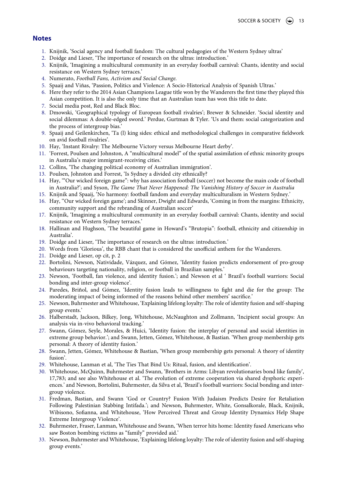#### **Notes**

- 1. Knijnik, 'Social agency and football fandom: The cultural pedagogies of the Western Sydney ultras'
- 2. Doidge and Lieser, 'The importance of research on the ultras: introduction.'
- 3. Knijnik, 'Imagining a multicultural community in an everyday football carnival: Chants, identity and social resistance on Western Sydney terraces.'
- 4. Numerato, *Football Fans, Activism and Social Change.*
- 5. Spaaij and Viñas, 'Passion, Politics and Violence: A Socio-Historical Analysis of Spanish Ultras.'
- 6. Here they refer to the 2014 Asian Champions League title won by the Wanderers the first time they played this Asian competition. It is also the only time that an Australian team has won this title to date.
- 7. Social media post, Red and Black Bloc.
- 8. Dmowski, 'Geographical typology of European football rivalries'; Brewer & Schneider. 'Social identity and social dilemmas: A double-edged sword.' Perdue, Gurtman & Tyler. 'Us and them: social categorization and the process of intergroup bias.'
- 9. Spaaij and Geilenkirchen, 'Ta (l) king sides: ethical and methodological challenges in comparative fieldwork on avid football rivalries'.
- 10. Hay, 'Instant Rivalry: The Melbourne Victory versus Melbourne Heart derby'.
- 11. 'Forrest, Poulsen and Johnston, A "multicultural model" of the spatial assimilation of ethnic minority groups in Australia's major immigrant-receiving cities.'
- 12. Collins, 'The changing political economy of Australian immigration'.
- 13. Poulsen, Johnston and Forrest, 'Is Sydney a divided city ethnically?
- 14. Hay, '"Our wicked foreign game": why has association football (soccer) not become the main code of football in Australia?'; and Syson, *The Game That Never Happened: The Vanishing History of Soccer in Australia*
- 15. Knijnik and Spaaij, 'No harmony: football fandom and everyday multiculturalism in Western Sydney.'
- 16. Hay, ''Our wicked foreign game'; and Skinner, Dwight and Edwards, 'Coming in from the margins: Ethnicity, community support and the rebranding of Australian soccer'
- 17. Knijnik, 'Imagining a multicultural community in an everyday football carnival: Chants, identity and social resistance on Western Sydney terraces.'
- 18. Hallinan and Hughson, 'The beautiful game in Howard's "Brutopia": football, ethnicity and citizenship in Australia'.
- 19. Doidge and Lieser, 'The importance of research on the ultras: introduction.'
- 20. Words from 'Glorious', the RBB chant that is considered the unofficial anthem for the Wanderers.
- 21. Doidge and Lieser, op cit, p. 2
- 22. Bortolini, Newson, Natividade, Vázquez, and Gómez, 'Identity fusion predicts endorsement of pro-group behaviours targeting nationality, religion, or football in Brazilian samples.'
- 23. Newson, 'Football, fan violence, and identity fusion.'; and Newson et al ' Brazil's football warriors: Social bonding and inter-group violence'.
- 24. Paredes, Briñol, and Gómez, 'Identity fusion leads to willingness to fight and die for the group: The moderating impact of being informed of the reasons behind other members' sacrifice.'
- 25. Newson, Buhrmester and Whitehouse, 'Explaining lifelong loyalty: The role of identity fusion and self-shaping group events.'
- 26. Halberstadt, Jackson, Bilkey, Jong, Whitehouse, McNaughton and Zollmann, 'Incipient social groups: An analysis via in-vivo behavioral tracking.'
- 27. Swann, Gómez, Seyle, Morales, & Huici, 'Identity fusion: the interplay of personal and social identities in extreme group behavior.'; and Swann, Jetten, Gómez, Whitehouse, & Bastian. 'When group membership gets personal: A theory of identity fusion.'
- 28. Swann, Jetten, Gómez, Whitehouse & Bastian, 'When group membership gets personal: A theory of identity fusion'.
- 29. Whitehouse, Lanman et al, 'The Ties That Bind Us: Ritual, fusion, and identification'.
- 30. Whitehouse, McQuinn, Buhrmester and Swann, 'Brothers in Arms: Libyan revolutionaries bond like family', 17,783; and see also Whitehouse et al. 'The evolution of extreme cooperation via shared dysphoric experiences.' and Newson, Bortolini, Buhrmester, da Silva et al, 'Brazil's football warriors: Social bonding and intergroup violence.
- 31. Fredman, Bastian, and Swann 'God or Country? Fusion With Judaism Predicts Desire for Retaliation Following Palestinian Stabbing Intifada.'; and Newson, Buhrmester, White, Gonsalkorale, Black, Knijnik, Wibisono, Sofianna, and Whitehouse, 'How Perceived Threat and Group Identity Dynamics Help Shape Extreme Intergroup Violence'.
- 32. Buhrmester, Fraser, Lanman, Whitehouse and Swann, 'When terror hits home: Identity fused Americans who saw Boston bombing victims as "family" provided aid.'
- 33. Newson, Buhrmester and Whitehouse, 'Explaining lifelong loyalty: The role of identity fusion and self-shaping group events.'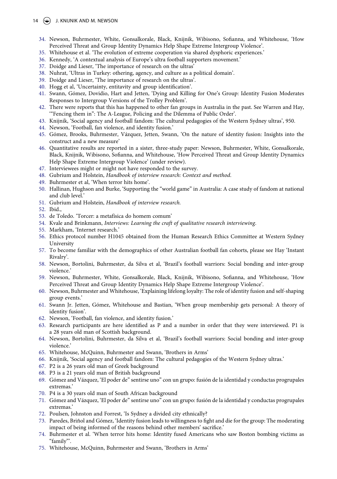#### 14  $\bigodot$  J. KNIJNIK AND M. NEWSON

- 34. Newson, Buhrmester, White, Gonsalkorale, Black, Knijnik, Wibisono, Sofianna, and Whitehouse, 'How Perceived Threat and Group Identity Dynamics Help Shape Extreme Intergroup Violence'.
- 35. Whitehouse et al. 'The evolution of extreme cooperation via shared dysphoric experiences.'
- 36. Kennedy, 'A contextual analysis of Europe's ultra football supporters movement.'
- 37. Doidge and Lieser, 'The importance of research on the ultras'
- 38. Nuhrat, 'Ultras in Turkey: othering, agency, and culture as a political domain'.
- 39. Doidge and Lieser, 'The importance of research on the ultras'.
- 40. Hogg et al, 'Uncertainty, entitavity and group identification'.
- 41. Swann, Gómez, Dovidio, Hart and Jetten, 'Dying and Killing for One's Group: Identity Fusion Moderates Responses to Intergroup Versions of the Trolley Problem'.
- 42. There were reports that this has happened to other fan groups in Australia in the past. See Warren and Hay, '"Fencing them in": The A-League, Policing and the Dilemma of Public Order'.
- 43. Knijnik, 'Social agency and football fandom: The cultural pedagogies of the Western Sydney ultras', 950.
- 44. Newson, 'Football, fan violence, and identity fusion.'
- 45. Gómez, Brooks, Buhrmester, Vázquez, Jetten, Swann, 'On the nature of identity fusion: Insights into the construct and a new measure'
- 46. Quantitative results are reported in a sister, three-study paper: Newson, Buhrmester, White, Gonsalkorale, Black, Knijnik, Wibisono, Sofianna, and Whitehouse, 'How Perceived Threat and Group Identity Dynamics Help Shape Extreme Intergroup Violence' (under review).
- 47. Interviewees might or might not have responded to the survey.
- 48. Gubrium and Holstein, *Handbook of interview research: Context and method*.
- 49. Buhrmester et al, 'When terror hits home'.
- 50. Hallinan, Hughson and Burke, 'Supporting the "world game" in Australia: A case study of fandom at national and club level.'
- 51. Gubrium and Holstein, *Handbook of interview research.*
- 52. Ibid.,
- 53. de Toledo. 'Torcer: a metafísica do homem comum'
- 54. Kvale and Brinkmann, *Interviews: Learning the craft of qualitative research interviewing*.
- 55. Markham, 'Internet research.'
- 56. Ethics protocol number H1045 obtained from the Human Research Ethics Committee at Western Sydney University
- 57. To become familiar with the demographics of other Australian football fan cohorts, please see Hay 'Instant Rivalry'.
- 58. Newson, Bortolini, Buhrmester, da Silva et al, 'Brazil's football warriors: Social bonding and inter-group violence.'
- 59. Newson, Buhrmester, White, Gonsalkorale, Black, Knijnik, Wibisono, Sofianna, and Whitehouse, 'How Perceived Threat and Group Identity Dynamics Help Shape Extreme Intergroup Violence'.
- 60. Newson, Buhrmester and Whitehouse, 'Explaining lifelong loyalty: The role of identity fusion and self-shaping group events.'
- 61. Swann Jr. Jetten, Gómez, Whitehouse and Bastian, 'When group membership gets personal: A theory of identity fusion'.
- 62. Newson, 'Football, fan violence, and identity fusion.'
- 63. Research participants are here identified as P and a number in order that they were interviewed. P1 is a 28 years old man of Scottish background.
- 64. Newson, Bortolini, Buhrmester, da Silva et al, 'Brazil's football warriors: Social bonding and inter-group violence.'
- 65. Whitehouse, McQuinn, Buhrmester and Swann, 'Brothers in Arms'
- 66. Knijnik, 'Social agency and football fandom: The cultural pedagogies of the Western Sydney ultras.'
- 67. P2 is a 26 years old man of Greek background
- 68. P3 is a 21 years old man of British background
- 69. Gómez and Vázquez, 'El poder de" sentirse uno" con un grupo: fusión de la identidad y conductas progrupales extremas.'
- 70. P4 is a 30 years old man of South African background
- 71. Gómez and Vázquez, 'El poder de" sentirse uno" con un grupo: fusión de la identidad y conductas progrupales extremas.'
- 72. Poulsen, Johnston and Forrest, 'Is Sydney a divided city ethnically?
- 73. Paredes, Briñol and Gómez, 'Identity fusion leads to willingness to fight and die for the group: The moderating impact of being informed of the reasons behind other members' sacrifice.'
- 74. Buhrmester et al. 'When terror hits home: Identity fused Americans who saw Boston bombing victims as "family"'.
- 75. Whitehouse, McQuinn, Buhrmester and Swann, 'Brothers in Arms'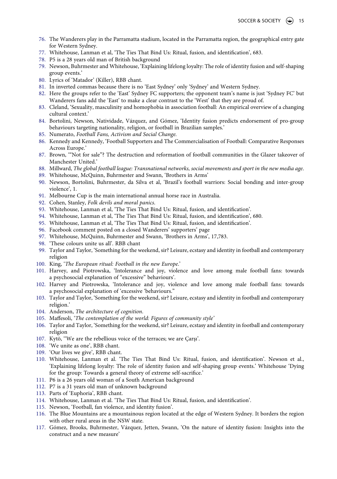- 76. The Wanderers play in the Parramatta stadium, located in the Parramatta region, the geographical entry gate for Western Sydney.
- 77. Whitehouse, Lanman et al, 'The Ties That Bind Us: Ritual, fusion, and identification', 683.
- 78. P5 is a 28 years old man of British background
- 79. Newson, Buhrmester and Whitehouse, 'Explaining lifelong loyalty: The role of identity fusion and self-shaping group events.'
- 80. Lyrics of 'Matador' (Killer), RBB chant.
- 81. In inverted commas because there is no 'East Sydney' only 'Sydney' and Western Sydney.
- 82. Here the groups refer to the 'East' Sydney FC supporters; the opponent team's name is just 'Sydney FC' but Wanderers fans add the 'East' to make a clear contrast to the 'West' that they are proud of.
- 83. Cleland, 'Sexuality, masculinity and homophobia in association football: An empirical overview of a changing cultural context.'
- 84. Bortolini, Newson, Natividade, Vázquez, and Gómez, 'Identity fusion predicts endorsement of pro-group behaviours targeting nationality, religion, or football in Brazilian samples.'
- 85. Numerato, *Football Fans, Activism and Social Change.*
- 86. Kennedy and Kennedy, 'Football Supporters and The Commercialisation of Football: Comparative Responses Across Europe.'
- 87. Brown, '"Not for sale"? The destruction and reformation of football communities in the Glazer takeover of Manchester United.'
- 88. Millward, *The global football league: Transnational networks, social movements and sport in the new media age*.
- 89. Whitehouse, McQuinn, Buhrmester and Swann, 'Brothers in Arms'
- 90. Newson, Bortolini, Buhrmester, da Silva et al, 'Brazil's football warriors: Social bonding and inter-group violence', 1.
- 91. Melbourne Cup is the main international annual horse race in Australia.
- 92. Cohen, Stanley, *Folk devils and moral panics*.
- 93. Whitehouse, Lanman et al, 'The Ties That Bind Us: Ritual, fusion, and identification'.
- 94. Whitehouse, Lanman et al, 'The Ties That Bind Us: Ritual, fusion, and identification', 680.
- 95. Whitehouse, Lanman et al, 'The Ties That Bind Us: Ritual, fusion, and identification'.
- 96. Facebook comment posted on a closed Wanderers' supporters' page
- 97. Whitehouse, McQuinn, Buhrmester and Swann, 'Brothers in Arms', 17,783.
- 98. 'These colours unite us all'. RBB chant
- 99. Taylor and Taylor, 'Something for the weekend, sir? Leisure, ecstasy and identity in football and contemporary religion
- 100. King, '*The European ritual: Football in the new Europe*.'
- 101. Harvey, and Piotrowska, 'Intolerance and joy, violence and love among male football fans: towards a psychosocial explanation of "excessive" behaviours'.
- 102. Harvey and Piotrowska, 'Intolerance and joy, violence and love among male football fans: towards a psychosocial explanation of 'excessive 'behaviours."
- 103. Taylor and Taylor, 'Something for the weekend, sir? Leisure, ecstasy and identity in football and contemporary religion.'
- 104. Anderson, *The architecture of cognition*.
- 105. Maffesoli, '*The contemplation of the world: Figures of community style'*
- 106. Taylor and Taylor, 'Something for the weekend, sir? Leisure, ecstasy and identity in football and contemporary religion
- 107. Kytö, ''We are the rebellious voice of the terraces; we are Çarşı'.
- 108. 'We unite as one', RBB chant.
- 109. 'Our lives we give', RBB chant.
- 110. Whitehouse, Lanman et al. 'The Ties That Bind Us: Ritual, fusion, and identification'. Newson et al., 'Explaining lifelong loyalty: The role of identity fusion and self-shaping group events.' Whitehouse 'Dying for the group: Towards a general theory of extreme self-sacrifice.'
- 111. P6 is a 26 years old woman of a South American background
- 112. P7 is a 31 years old man of unknown background
- 113. Parts of 'Euphoria', RBB chant.
- 114. Whitehouse, Lanman et al. 'The Ties That Bind Us: Ritual, fusion, and identification'.
- 115. Newson, 'Football, fan violence, and identity fusion'.
- 116. The Blue Mountains are a mountainous region located at the edge of Western Sydney. It borders the region with other rural areas in the NSW state.
- 117. Gómez, Brooks, Buhrmester, Vázquez, Jetten, Swann, 'On the nature of identity fusion: Insights into the construct and a new measure'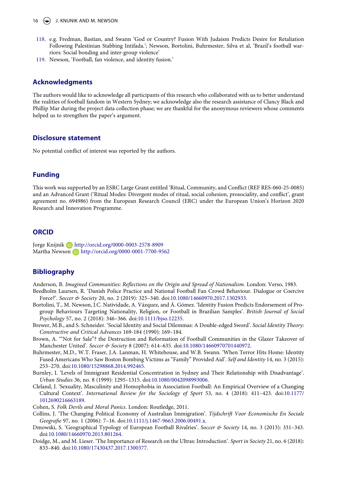#### 16  $\left(\rightarrow\right)$  J. KNIJNIK AND M. NEWSON

- 118. e.g. Fredman, Bastian, and Swann 'God or Country? Fusion With Judaism Predicts Desire for Retaliation Following Palestinian Stabbing Intifada.'; Newson, Bortolini, Buhrmester, Silva et al, 'Brazil's football warriors: Social bonding and inter-group violence'
- 119. Newson, 'Football, fan violence, and identity fusion.'

#### **Acknowledgments**

The authors would like to acknowledge all participants of this research who collaborated with us to better understand the realities of football fandom in Western Sydney; we acknowledge also the research assistance of Clancy Black and Phillip Mar during the project data collection phase; we are thankful for the anonymous reviewers whose comments helped us to strengthen the paper's argument.

#### **Disclosure statement**

No potential conflict of interest was reported by the authors.

#### **Funding**

This work was supported by an ESRC Large Grant entitled 'Ritual, Community, and Conflict (REF RES-060-25-0085) and an Advanced Grant ('Ritual Modes: Divergent modes of ritual, social cohesion, prosociality, and conflict', grant agreement no. 694986) from the European Research Council (ERC) under the European Union's Horizon 2020 Research and Innovation Programme.

#### **ORCID**

Jorge Knijnik D http://orcid.org/0000-0003-2578-8909 Martha Newson D http://orcid.org/0000-0001-7700-9562

#### **Bibliography**

Anderson, B. *Imagined Communities: Reflections on the Origin and Spread of Nationalism*. London: Verso, 1983.

- Beedholm Laursen, R. 'Danish Police Practice and National Football Fan Crowd Behaviour. Dialogue or Coercive Force?'. *Soccer & Society* 20, no. 2 (2019): 325–340. doi:[10.1080/14660970.2017.1302933](https://doi.org/10.1080/14660970.2017.1302933).
- Bortolini, T., M. Newson, J.C. Natividade, A. Vázquez, and Á. Gómez. 'Identity Fusion Predicts Endorsement of Progroup Behaviours Targeting Nationality, Religion, or Football in Brazilian Samples'. *British Journal of Social Psychology* 57, no. 2 (2018): 346–366. doi:[10.1111/bjso.12235](https://doi.org/10.1111/bjso.12235).
- Brewer, M.B., and S. Schneider. 'Social Identity and Social Dilemmas: A Double-edged Sword'. *Social Identity Theory: Constructive and Critical Advances* 169-184 (1990): 169–184.
- Brown, A. '"Not for Sale"? the Destruction and Reformation of Football Communities in the Glazer Takeover of Manchester United'. *Soccer & Society* 8 (2007): 614–635. doi:[10.1080/14660970701440972](https://doi.org/10.1080/14660970701440972).
- Buhrmester, M.D., W.T. Fraser, J.A. Lanman, H. Whitehouse, and W.B. Swann. 'When Terror Hits Home: Identity Fused Americans Who Saw Boston Bombing Victims as "Family" Provided Aid'. *Self and Identity* 14, no. 3 (2015): 253–270. doi:[10.1080/15298868.2014.992465.](https://doi.org/10.1080/15298868.2014.992465)
- Burnley, I. 'Levels of Immigrant Residential Concentration in Sydney and Their Relationship with Disadvantage'. *Urban Studies* 36, no. 8 (1999): 1295–1315. doi:[10.1080/0042098993006](https://doi.org/10.1080/0042098993006).
- Cleland, J. 'Sexuality, Masculinity and Homophobia in Association Football: An Empirical Overview of a Changing Cultural Context'. *International Review for the Sociology of Sport* 53, no. 4 (2018): 411–423. doi:[10.1177/](https://doi.org/10.1177/1012690216663189) [1012690216663189](https://doi.org/10.1177/1012690216663189).

Cohen, S. *Folk Devils and Moral Panics*. London: Routledge, 2011.

- Collins, J. 'The Changing Political Economy of Australian Immigration'. *Tijdschrift Voor Economische En Sociale Geografie* 97, no. 1 (2006): 7–16. doi:[10.1111/j.1467-9663.2006.00491.x.](https://doi.org/10.1111/j.1467-9663.2006.00491.x)
- Dmowski, S. 'Geographical Typology of European Football Rivalries'. *Soccer & Society* 14, no. 3 (2013): 331–343. doi:[10.1080/14660970.2013.801264.](https://doi.org/10.1080/14660970.2013.801264)
- Doidge, M., and M. Lieser. 'The Importance of Research on the Ultras: Introduction'. *Sport in Society* 21, no. 6 (2018): 833–840. doi:[10.1080/17430437.2017.1300377.](https://doi.org/10.1080/17430437.2017.1300377)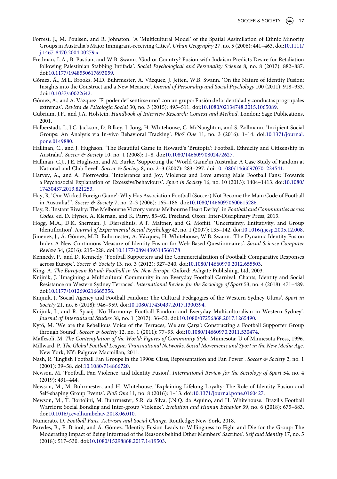- Forrest, J., M. Poulsen, and R. Johnston. 'A 'Multicultural Model' of the Spatial Assimilation of Ethnic Minority Groups in Australia's Major Immigrant-receiving Cities'. *Urban Geography* 27, no. 5 (2006): 441–463. doi:[10.1111/](https://doi.org/10.1111/j.1467-8470.2004.00279.x) [j.1467-8470.2004.00279.x](https://doi.org/10.1111/j.1467-8470.2004.00279.x).
- Fredman, L.A., B. Bastian, and W.B. Swann. 'God or Country? Fusion with Judaism Predicts Desire for Retaliation following Palestinian Stabbing Intifada'. *Social Psychological and Personality Science* 8, no. 8 (2017): 882–887. doi:[10.1177/1948550617693059.](https://doi.org/10.1177/1948550617693059)
- Gómez, Á., M.L. Brooks, M.D. Buhrmester, A. Vázquez, J. Jetten, W.B. Swann. 'On the Nature of Identity Fusion: Insights into the Construct and a New Measure'. *Journal of Personality and Social Psychology* 100 (2011): 918–933. doi:[10.1037/a0022642.](https://doi.org/10.1037/a0022642)
- Gómez, A., and A. Vázquez. 'El poder de" sentirse uno" con un grupo: Fusión de la identidad y conductas progrupales extremas'. *Revista de Psicología Social* 30, no. 3 (2015): 495–511. doi:[10.1080/02134748.2015.1065089](https://doi.org/10.1080/02134748.2015.1065089).
- Gubrium, J.F., and J.A. Holstein. *Handbook of Interview Research: Context and Method*. London: Sage Publications, 2001.
- Halberstadt, J., J.C. Jackson, D. Bilkey, J. Jong, H. Whitehouse, C. McNaughton, and S. Zollmann. 'Incipient Social Groups: An Analysis via In-vivo Behavioral Tracking'. *PloS One* 11, no. 3 (2016): 1–14. doi:[10.1371/journal.](https://doi.org/10.1371/journal.pone.0149880) [pone.0149880.](https://doi.org/10.1371/journal.pone.0149880)
- Hallinan, C., and J. Hughson. 'The Beautiful Game in Howard's 'Brutopia': Football, Ethnicity and Citizenship in Australia'. *Soccer & Society* 10, no. 1 (2008): 1–8. doi:[10.1080/14660970802472627.](https://doi.org/10.1080/14660970802472627)
- Hallinan, C.J., J.E. Hughson, and M. Burke. 'Supporting the 'World Game'in Australia: A Case Study of Fandom at National and Club Level'. *Soccer & Society* 8, no. 2–3 (2007): 283–297. doi:[10.1080/14660970701224541](https://doi.org/10.1080/14660970701224541).
- Harvey, A., and A. Piotrowska. 'Intolerance and Joy, Violence and Love among Male Football Fans: Towards a Psychosocial Explanation of 'Excessive'behaviours'. *Sport in Society* 16, no. 10 (2013): 1404–1413. doi:[10.1080/](https://doi.org/10.1080/17430437.2013.821253) [17430437.2013.821253](https://doi.org/10.1080/17430437.2013.821253).
- Hay, R. 'Our Wicked Foreign Game': Why Has Association Football (Soccer) Not Become the Main Code of Football in Australia?''. *Soccer & Society* 7, no. 2–3 (2006): 165–186. doi:[10.1080/14660970600615286.](https://doi.org/10.1080/14660970600615286)
- Hay, R. 'Instant Rivalry: The Melbourne Victory versus Melbourne Heart Derby'. in *Football and Communities across Codes*. ed. D. Hynes, A. Kiernan, and K. Parry, 83–92. Freeland, Oxon: Inter-Disciplinary Press, 2013.
- Hogg, M.A., D.K. Sherman, J. Dierselhuis, A.T. Maitner, and G. Moffitt. 'Uncertainty, Entitativity, and Group Identification'. *Journal of Experimental Social Psychology* 43, no. 1 (2007): 135–142. doi:[10.1016/j.jesp.2005.12.008](https://doi.org/10.1016/j.jesp.2005.12.008).
- Jimenez, J., Á. Gómez, M.D. Buhrmester, A. Vázquez, H. Whitehouse, W.B. Swann. 'The Dynamic Identity Fusion Index A New Continuous Measure of Identity Fusion for Web-Based Questionnaires'. *Social Science Computer Review* 34, (2016): 215–228. doi:[10.1177/0894439314566178](https://doi.org/10.1177/0894439314566178)
- Kennedy, P., and D. Kennedy. 'Football Supporters and the Commercialisation of Football: Comparative Responses across Europe'. *Soccer & Society* 13, no. 3 (2012): 327–340. doi:[10.1080/14660970.2012.655503](https://doi.org/10.1080/14660970.2012.655503).
- King, A. *The European Ritual: Football in the New Europe*. Oxford: Ashgate Publishing, Ltd, 2003.
- Knijnik, J. 'Imagining a Multicultural Community in an Everyday Football Carnival: Chants, Identity and Social Resistance on Western Sydney Terraces'. *International Review for the Sociology of Sport* 53, no. 4 (2018): 471–489. doi:[10.1177/1012690216665356.](https://doi.org/10.1177/1012690216665356)
- Knijnik, J. 'Social Agency and Football Fandom: The Cultural Pedagogies of the Western Sydney Ultras'. *Sport in Society* 21, no. 6 (2018): 946–959. doi:[10.1080/17430437.2017.1300394](https://doi.org/10.1080/17430437.2017.1300394).
- Knijnik, J., and R. Spaaij. 'No Harmony: Football Fandom and Everyday Multiculturalism in Western Sydney'. *Journal of Intercultural Studies* 38, no. 1 (2017): 36–53. doi:[10.1080/07256868.2017.1265490](https://doi.org/10.1080/07256868.2017.1265490).
- Kytö, M. 'We are the Rebellious Voice of the Terraces, We are Çarşı': Constructing a Football Supporter Group through Sound'. *Soccer & Society* 12, no. 1 (2011): 77–93. doi:[10.1080/14660970.2011.530474.](https://doi.org/10.1080/14660970.2011.530474)
- Maffesoli, M. *The Contemplation of the World: Figures of Community Style*. Minnesota: U of Minnesota Press, 1996.
- Millward, P. *The Global Football League: Transnational Networks, Social Movements and Sport in the New Media Age*. New York, NY: Palgrave Macmillan, 2011.
- Nash, R. 'English Football Fan Groups in the 1990s: Class, Representation and Fan Power'. *Soccer & Society* 2, no. 1 (2001): 39–58. doi:[10.1080/714866720.](https://doi.org/10.1080/714866720)
- Newson, M. 'Football, Fan Violence, and Identity Fusion'. *International Review for the Sociology of Sport* 54, no. 4 (2019): 431–444.
- Newson, M., M. Buhrmester, and H. Whitehouse. 'Explaining Lifelong Loyalty: The Role of Identity Fusion and Self-shaping Group Events'. *PloS One* 11, no. 8 (2016): 1–13. doi:[10.1371/journal.pone.0160427](https://doi.org/10.1371/journal.pone.0160427).
- Newson, M., T. Bortolini, M. Buhrmester, S.R. da Silva, J.N.Q. da Aquino, and H. Whitehouse. 'Brazil's Football Warriors: Social Bonding and Inter-group Violence'. *Evolution and Human Behavior* 39, no. 6 (2018): 675–683. doi:[10.1016/j.evolhumbehav.2018.06.010](https://doi.org/10.1016/j.evolhumbehav.2018.06.010).
- Numerato, D. *Football Fans, Activism and Social Change*. Routledge: New York, 2018.
- Paredes, B., P. Briñol, and Á. Gómez. 'Identity Fusion Leads to Willingness to Fight and Die for the Group: The Moderating Impact of Being Informed of the Reasons behind Other Members' Sacrifice'. *Self and Identity* 17, no. 5 (2018): 517–530. doi:[10.1080/15298868.2017.1419503](https://doi.org/10.1080/15298868.2017.1419503).